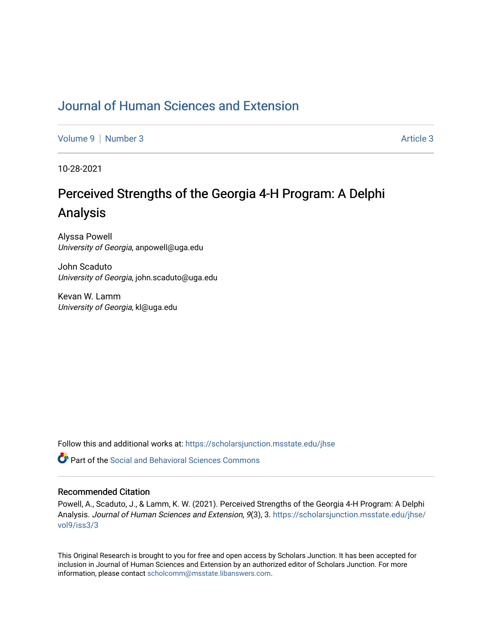## [Journal of Human Sciences and Extension](https://scholarsjunction.msstate.edu/jhse)

[Volume 9](https://scholarsjunction.msstate.edu/jhse/vol9) | [Number 3](https://scholarsjunction.msstate.edu/jhse/vol9/iss3) Article 3

10-28-2021

# Perceived Strengths of the Georgia 4-H Program: A Delphi Analysis

Alyssa Powell University of Georgia, anpowell@uga.edu

John Scaduto University of Georgia, john.scaduto@uga.edu

Kevan W. Lamm University of Georgia, kl@uga.edu

Follow this and additional works at: [https://scholarsjunction.msstate.edu/jhse](https://scholarsjunction.msstate.edu/jhse?utm_source=scholarsjunction.msstate.edu%2Fjhse%2Fvol9%2Fiss3%2F3&utm_medium=PDF&utm_campaign=PDFCoverPages)

 $\bullet$  Part of the Social and Behavioral Sciences Commons

#### Recommended Citation

Powell, A., Scaduto, J., & Lamm, K. W. (2021). Perceived Strengths of the Georgia 4-H Program: A Delphi Analysis. Journal of Human Sciences and Extension, 9(3), 3. [https://scholarsjunction.msstate.edu/jhse/](https://scholarsjunction.msstate.edu/jhse/vol9/iss3/3?utm_source=scholarsjunction.msstate.edu%2Fjhse%2Fvol9%2Fiss3%2F3&utm_medium=PDF&utm_campaign=PDFCoverPages) [vol9/iss3/3](https://scholarsjunction.msstate.edu/jhse/vol9/iss3/3?utm_source=scholarsjunction.msstate.edu%2Fjhse%2Fvol9%2Fiss3%2F3&utm_medium=PDF&utm_campaign=PDFCoverPages) 

This Original Research is brought to you for free and open access by Scholars Junction. It has been accepted for inclusion in Journal of Human Sciences and Extension by an authorized editor of Scholars Junction. For more information, please contact [scholcomm@msstate.libanswers.com](mailto:scholcomm@msstate.libanswers.com).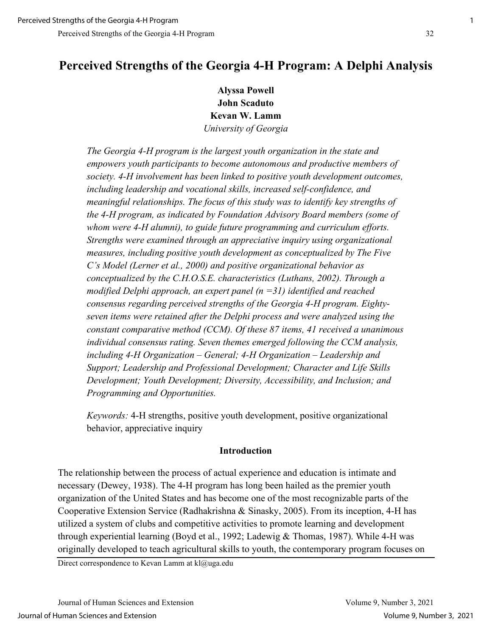## **Perceived Strengths of the Georgia 4-H Program: A Delphi Analysis**

**Alyssa Powell John Scaduto Kevan W. Lamm** *University of Georgia*

*The Georgia 4-H program is the largest youth organization in the state and empowers youth participants to become autonomous and productive members of society. 4-H involvement has been linked to positive youth development outcomes, including leadership and vocational skills, increased self-confidence, and meaningful relationships. The focus of this study was to identify key strengths of the 4-H program, as indicated by Foundation Advisory Board members (some of whom were 4-H alumni), to guide future programming and curriculum efforts. Strengths were examined through an appreciative inquiry using organizational measures, including positive youth development as conceptualized by The Five C's Model (Lerner et al., 2000) and positive organizational behavior as conceptualized by the C.H.O.S.E. characteristics (Luthans, 2002). Through a modified Delphi approach, an expert panel (n =31) identified and reached consensus regarding perceived strengths of the Georgia 4-H program. Eightyseven items were retained after the Delphi process and were analyzed using the constant comparative method (CCM). Of these 87 items, 41 received a unanimous individual consensus rating. Seven themes emerged following the CCM analysis, including 4-H Organization – General; 4-H Organization – Leadership and Support; Leadership and Professional Development; Character and Life Skills Development; Youth Development; Diversity, Accessibility, and Inclusion; and Programming and Opportunities.* 

*Keywords:* 4-H strengths, positive youth development, positive organizational behavior, appreciative inquiry

#### **Introduction**

The relationship between the process of actual experience and education is intimate and necessary (Dewey, 1938). The 4-H program has long been hailed as the premier youth organization of the United States and has become one of the most recognizable parts of the Cooperative Extension Service (Radhakrishna & Sinasky, 2005). From its inception, 4-H has utilized a system of clubs and competitive activities to promote learning and development through experiential learning (Boyd et al., 1992; Ladewig & Thomas, 1987). While 4-H was originally developed to teach agricultural skills to youth, the contemporary program focuses on

Direct correspondence to Kevan Lamm at kl@uga.edu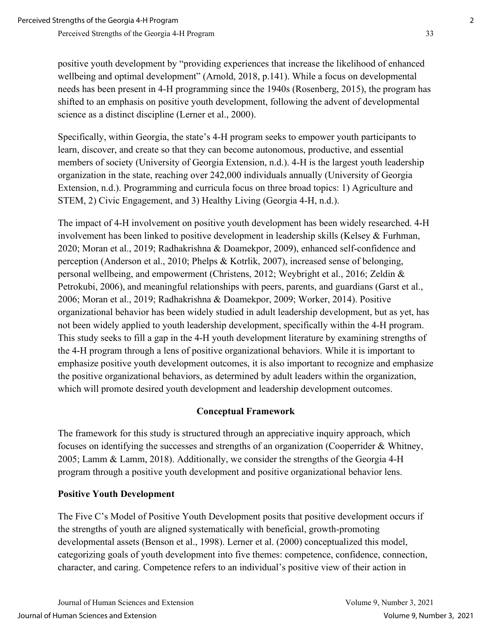positive youth development by "providing experiences that increase the likelihood of enhanced wellbeing and optimal development" (Arnold, 2018, p.141). While a focus on developmental needs has been present in 4-H programming since the 1940s (Rosenberg, 2015), the program has shifted to an emphasis on positive youth development, following the advent of developmental science as a distinct discipline (Lerner et al., 2000).

Specifically, within Georgia, the state's 4-H program seeks to empower youth participants to learn, discover, and create so that they can become autonomous, productive, and essential members of society (University of Georgia Extension, n.d.). 4-H is the largest youth leadership organization in the state, reaching over 242,000 individuals annually (University of Georgia Extension, n.d.). Programming and curricula focus on three broad topics: 1) Agriculture and STEM, 2) Civic Engagement, and 3) Healthy Living (Georgia 4-H, n.d.).

The impact of 4-H involvement on positive youth development has been widely researched. 4-H involvement has been linked to positive development in leadership skills (Kelsey & Furhman, 2020; Moran et al., 2019; Radhakrishna & Doamekpor, 2009), enhanced self-confidence and perception (Anderson et al., 2010; Phelps & Kotrlik, 2007), increased sense of belonging, personal wellbeing, and empowerment (Christens, 2012; Weybright et al., 2016; Zeldin & Petrokubi, 2006), and meaningful relationships with peers, parents, and guardians (Garst et al., 2006; Moran et al., 2019; Radhakrishna & Doamekpor, 2009; Worker, 2014). Positive organizational behavior has been widely studied in adult leadership development, but as yet, has not been widely applied to youth leadership development, specifically within the 4-H program. This study seeks to fill a gap in the 4-H youth development literature by examining strengths of the 4-H program through a lens of positive organizational behaviors. While it is important to emphasize positive youth development outcomes, it is also important to recognize and emphasize the positive organizational behaviors, as determined by adult leaders within the organization, which will promote desired youth development and leadership development outcomes.

## **Conceptual Framework**

The framework for this study is structured through an appreciative inquiry approach, which focuses on identifying the successes and strengths of an organization (Cooperrider & Whitney, 2005; Lamm & Lamm, 2018). Additionally, we consider the strengths of the Georgia 4-H program through a positive youth development and positive organizational behavior lens.

## **Positive Youth Development**

The Five C's Model of Positive Youth Development posits that positive development occurs if the strengths of youth are aligned systematically with beneficial, growth-promoting developmental assets (Benson et al., 1998). Lerner et al. (2000) conceptualized this model, categorizing goals of youth development into five themes: competence, confidence, connection, character, and caring. Competence refers to an individual's positive view of their action in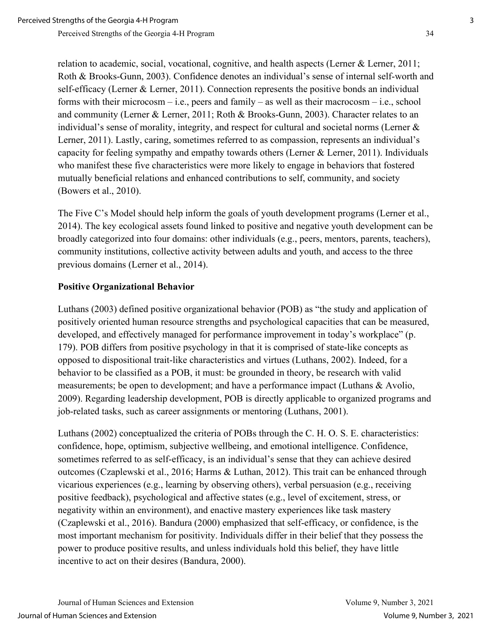relation to academic, social, vocational, cognitive, and health aspects (Lerner & Lerner, 2011; Roth & Brooks-Gunn, 2003). Confidence denotes an individual's sense of internal self-worth and self-efficacy (Lerner & Lerner, 2011). Connection represents the positive bonds an individual forms with their microcosm – i.e., peers and family – as well as their macrocosm – i.e., school and community (Lerner & Lerner, 2011; Roth & Brooks-Gunn, 2003). Character relates to an individual's sense of morality, integrity, and respect for cultural and societal norms (Lerner & Lerner, 2011). Lastly, caring, sometimes referred to as compassion, represents an individual's capacity for feeling sympathy and empathy towards others (Lerner & Lerner, 2011). Individuals who manifest these five characteristics were more likely to engage in behaviors that fostered mutually beneficial relations and enhanced contributions to self, community, and society (Bowers et al., 2010).

The Five C's Model should help inform the goals of youth development programs (Lerner et al., 2014). The key ecological assets found linked to positive and negative youth development can be broadly categorized into four domains: other individuals (e.g., peers, mentors, parents, teachers), community institutions, collective activity between adults and youth, and access to the three previous domains (Lerner et al., 2014).

#### **Positive Organizational Behavior**

Luthans (2003) defined positive organizational behavior (POB) as "the study and application of positively oriented human resource strengths and psychological capacities that can be measured, developed, and effectively managed for performance improvement in today's workplace" (p. 179). POB differs from positive psychology in that it is comprised of state-like concepts as opposed to dispositional trait-like characteristics and virtues (Luthans, 2002). Indeed, for a behavior to be classified as a POB, it must: be grounded in theory, be research with valid measurements; be open to development; and have a performance impact (Luthans & Avolio, 2009). Regarding leadership development, POB is directly applicable to organized programs and job-related tasks, such as career assignments or mentoring (Luthans, 2001).

Luthans (2002) conceptualized the criteria of POBs through the C. H. O. S. E. characteristics: confidence, hope, optimism, subjective wellbeing, and emotional intelligence. Confidence, sometimes referred to as self-efficacy, is an individual's sense that they can achieve desired outcomes (Czaplewski et al., 2016; Harms & Luthan, 2012). This trait can be enhanced through vicarious experiences (e.g., learning by observing others), verbal persuasion (e.g., receiving positive feedback), psychological and affective states (e.g., level of excitement, stress, or negativity within an environment), and enactive mastery experiences like task mastery (Czaplewski et al., 2016). Bandura (2000) emphasized that self-efficacy, or confidence, is the most important mechanism for positivity. Individuals differ in their belief that they possess the power to produce positive results, and unless individuals hold this belief, they have little incentive to act on their desires (Bandura, 2000).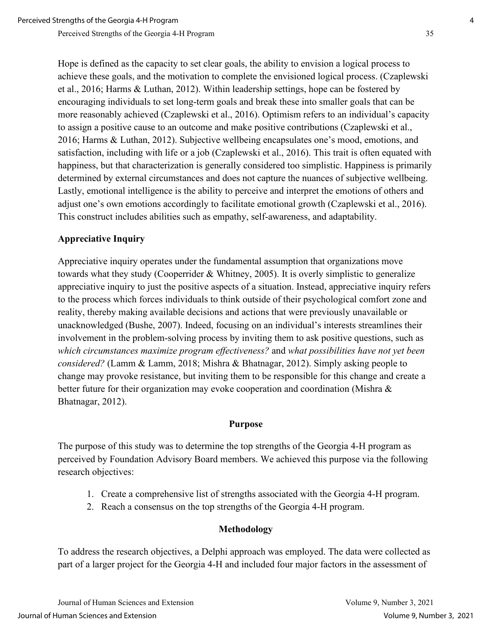Hope is defined as the capacity to set clear goals, the ability to envision a logical process to achieve these goals, and the motivation to complete the envisioned logical process. (Czaplewski et al., 2016; Harms & Luthan, 2012). Within leadership settings, hope can be fostered by encouraging individuals to set long-term goals and break these into smaller goals that can be more reasonably achieved (Czaplewski et al., 2016). Optimism refers to an individual's capacity to assign a positive cause to an outcome and make positive contributions (Czaplewski et al., 2016; Harms & Luthan, 2012). Subjective wellbeing encapsulates one's mood, emotions, and satisfaction, including with life or a job (Czaplewski et al., 2016). This trait is often equated with happiness, but that characterization is generally considered too simplistic. Happiness is primarily determined by external circumstances and does not capture the nuances of subjective wellbeing. Lastly, emotional intelligence is the ability to perceive and interpret the emotions of others and adjust one's own emotions accordingly to facilitate emotional growth (Czaplewski et al., 2016). This construct includes abilities such as empathy, self-awareness, and adaptability.

## **Appreciative Inquiry**

Appreciative inquiry operates under the fundamental assumption that organizations move towards what they study (Cooperrider & Whitney, 2005). It is overly simplistic to generalize appreciative inquiry to just the positive aspects of a situation. Instead, appreciative inquiry refers to the process which forces individuals to think outside of their psychological comfort zone and reality, thereby making available decisions and actions that were previously unavailable or unacknowledged (Bushe, 2007). Indeed, focusing on an individual's interests streamlines their involvement in the problem-solving process by inviting them to ask positive questions, such as *which circumstances maximize program effectiveness?* and *what possibilities have not yet been considered?* (Lamm & Lamm, 2018; Mishra & Bhatnagar, 2012). Simply asking people to change may provoke resistance, but inviting them to be responsible for this change and create a better future for their organization may evoke cooperation and coordination (Mishra & Bhatnagar, 2012).

#### **Purpose**

The purpose of this study was to determine the top strengths of the Georgia 4-H program as perceived by Foundation Advisory Board members. We achieved this purpose via the following research objectives:

- 1. Create a comprehensive list of strengths associated with the Georgia 4-H program.
- 2. Reach a consensus on the top strengths of the Georgia 4-H program.

## **Methodology**

To address the research objectives, a Delphi approach was employed. The data were collected as part of a larger project for the Georgia 4-H and included four major factors in the assessment of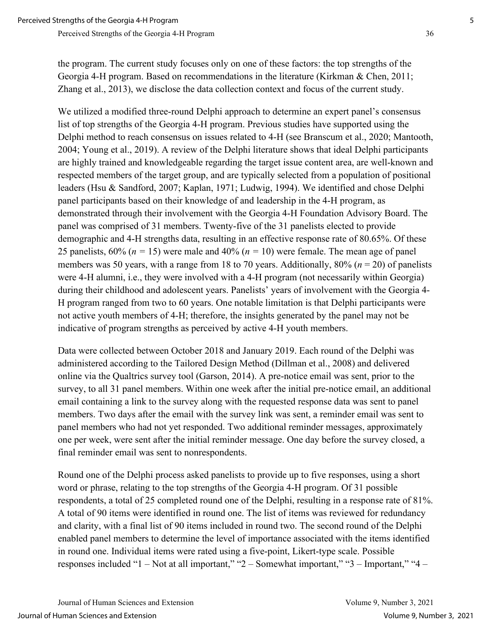Perceived Strengths of the Georgia 4-H Program 36

the program. The current study focuses only on one of these factors: the top strengths of the Georgia 4-H program. Based on recommendations in the literature (Kirkman & Chen, 2011; Zhang et al., 2013), we disclose the data collection context and focus of the current study.

We utilized a modified three-round Delphi approach to determine an expert panel's consensus list of top strengths of the Georgia 4-H program. Previous studies have supported using the Delphi method to reach consensus on issues related to 4-H (see Branscum et al., 2020; Mantooth, 2004; Young et al., 2019). A review of the Delphi literature shows that ideal Delphi participants are highly trained and knowledgeable regarding the target issue content area, are well-known and respected members of the target group, and are typically selected from a population of positional leaders (Hsu & Sandford, 2007; Kaplan, 1971; Ludwig, 1994). We identified and chose Delphi panel participants based on their knowledge of and leadership in the 4-H program, as demonstrated through their involvement with the Georgia 4-H Foundation Advisory Board. The panel was comprised of 31 members. Twenty-five of the 31 panelists elected to provide demographic and 4-H strengths data, resulting in an effective response rate of 80.65%. Of these 25 panelists,  $60\%$  ( $n = 15$ ) were male and  $40\%$  ( $n = 10$ ) were female. The mean age of panel members was 50 years, with a range from 18 to 70 years. Additionally, 80% (*n* = 20) of panelists were 4-H alumni, i.e., they were involved with a 4-H program (not necessarily within Georgia) during their childhood and adolescent years. Panelists' years of involvement with the Georgia 4- H program ranged from two to 60 years. One notable limitation is that Delphi participants were not active youth members of 4-H; therefore, the insights generated by the panel may not be indicative of program strengths as perceived by active 4-H youth members.

Data were collected between October 2018 and January 2019. Each round of the Delphi was administered according to the Tailored Design Method (Dillman et al., 2008) and delivered online via the Qualtrics survey tool (Garson, 2014). A pre-notice email was sent, prior to the survey, to all 31 panel members. Within one week after the initial pre-notice email, an additional email containing a link to the survey along with the requested response data was sent to panel members. Two days after the email with the survey link was sent, a reminder email was sent to panel members who had not yet responded. Two additional reminder messages, approximately one per week, were sent after the initial reminder message. One day before the survey closed, a final reminder email was sent to nonrespondents.

Round one of the Delphi process asked panelists to provide up to five responses, using a short word or phrase, relating to the top strengths of the Georgia 4-H program. Of 31 possible respondents, a total of 25 completed round one of the Delphi, resulting in a response rate of 81%. A total of 90 items were identified in round one. The list of items was reviewed for redundancy and clarity, with a final list of 90 items included in round two. The second round of the Delphi enabled panel members to determine the level of importance associated with the items identified in round one. Individual items were rated using a five-point, Likert-type scale. Possible responses included "1 – Not at all important," "2 – Somewhat important," "3 – Important," "4 –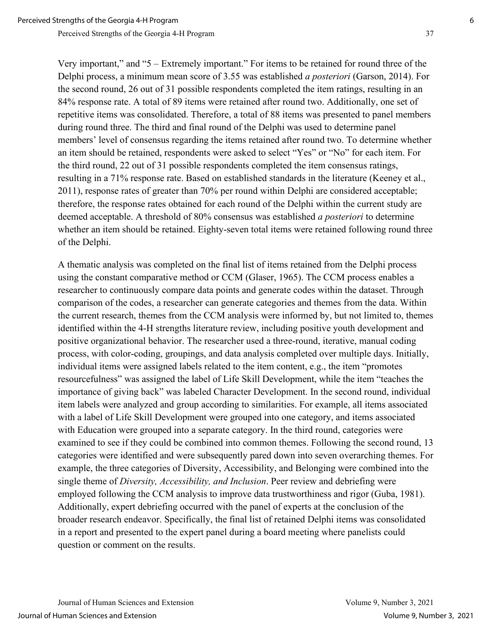Very important," and "5 – Extremely important." For items to be retained for round three of the Delphi process, a minimum mean score of 3.55 was established *a posteriori* (Garson, 2014). For the second round, 26 out of 31 possible respondents completed the item ratings, resulting in an 84% response rate. A total of 89 items were retained after round two. Additionally, one set of repetitive items was consolidated. Therefore, a total of 88 items was presented to panel members during round three. The third and final round of the Delphi was used to determine panel members' level of consensus regarding the items retained after round two. To determine whether an item should be retained, respondents were asked to select "Yes" or "No" for each item. For the third round, 22 out of 31 possible respondents completed the item consensus ratings, resulting in a 71% response rate. Based on established standards in the literature (Keeney et al., 2011), response rates of greater than 70% per round within Delphi are considered acceptable; therefore, the response rates obtained for each round of the Delphi within the current study are deemed acceptable. A threshold of 80% consensus was established *a posteriori* to determine whether an item should be retained. Eighty-seven total items were retained following round three of the Delphi.

A thematic analysis was completed on the final list of items retained from the Delphi process using the constant comparative method or CCM (Glaser, 1965). The CCM process enables a researcher to continuously compare data points and generate codes within the dataset. Through comparison of the codes, a researcher can generate categories and themes from the data. Within the current research, themes from the CCM analysis were informed by, but not limited to, themes identified within the 4-H strengths literature review, including positive youth development and positive organizational behavior. The researcher used a three-round, iterative, manual coding process, with color-coding, groupings, and data analysis completed over multiple days. Initially, individual items were assigned labels related to the item content, e.g., the item "promotes resourcefulness" was assigned the label of Life Skill Development, while the item "teaches the importance of giving back" was labeled Character Development. In the second round, individual item labels were analyzed and group according to similarities. For example, all items associated with a label of Life Skill Development were grouped into one category, and items associated with Education were grouped into a separate category. In the third round, categories were examined to see if they could be combined into common themes. Following the second round, 13 categories were identified and were subsequently pared down into seven overarching themes. For example, the three categories of Diversity, Accessibility, and Belonging were combined into the single theme of *Diversity, Accessibility, and Inclusion*. Peer review and debriefing were employed following the CCM analysis to improve data trustworthiness and rigor (Guba, 1981). Additionally, expert debriefing occurred with the panel of experts at the conclusion of the broader research endeavor. Specifically, the final list of retained Delphi items was consolidated in a report and presented to the expert panel during a board meeting where panelists could question or comment on the results.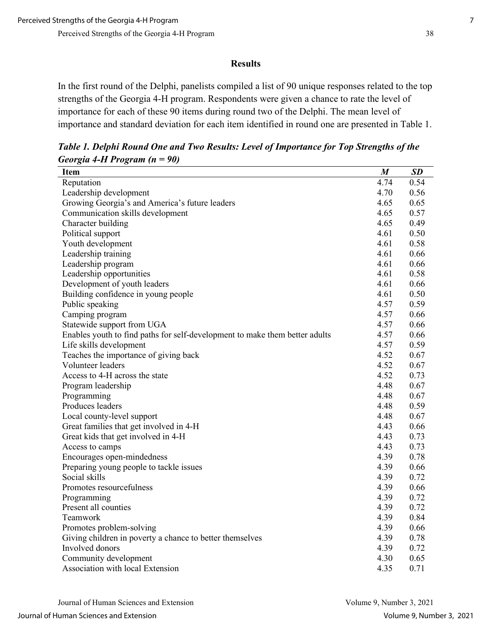#### **Results**

In the first round of the Delphi, panelists compiled a list of 90 unique responses related to the top strengths of the Georgia 4-H program. Respondents were given a chance to rate the level of importance for each of these 90 items during round two of the Delphi. The mean level of importance and standard deviation for each item identified in round one are presented in Table 1.

*Table 1. Delphi Round One and Two Results: Level of Importance for Top Strengths of the Georgia 4-H Program (n = 90)* 

| Item                                                                        | $\boldsymbol{M}$ | SD   |
|-----------------------------------------------------------------------------|------------------|------|
| Reputation                                                                  | 4.74             | 0.54 |
| Leadership development                                                      | 4.70             | 0.56 |
| Growing Georgia's and America's future leaders                              | 4.65             | 0.65 |
| Communication skills development                                            | 4.65             | 0.57 |
| Character building                                                          | 4.65             | 0.49 |
| Political support                                                           | 4.61             | 0.50 |
| Youth development                                                           | 4.61             | 0.58 |
| Leadership training                                                         | 4.61             | 0.66 |
| Leadership program                                                          | 4.61             | 0.66 |
| Leadership opportunities                                                    | 4.61             | 0.58 |
| Development of youth leaders                                                | 4.61             | 0.66 |
| Building confidence in young people                                         | 4.61             | 0.50 |
| Public speaking                                                             | 4.57             | 0.59 |
| Camping program                                                             | 4.57             | 0.66 |
| Statewide support from UGA                                                  | 4.57             | 0.66 |
| Enables youth to find paths for self-development to make them better adults | 4.57             | 0.66 |
| Life skills development                                                     | 4.57             | 0.59 |
| Teaches the importance of giving back                                       | 4.52             | 0.67 |
| Volunteer leaders                                                           | 4.52             | 0.67 |
| Access to 4-H across the state                                              | 4.52             | 0.73 |
| Program leadership                                                          | 4.48             | 0.67 |
| Programming                                                                 | 4.48             | 0.67 |
| Produces leaders                                                            | 4.48             | 0.59 |
| Local county-level support                                                  | 4.48             | 0.67 |
| Great families that get involved in 4-H                                     | 4.43             | 0.66 |
| Great kids that get involved in 4-H                                         | 4.43             | 0.73 |
| Access to camps                                                             | 4.43             | 0.73 |
| Encourages open-mindedness                                                  | 4.39             | 0.78 |
| Preparing young people to tackle issues                                     | 4.39             | 0.66 |
| Social skills                                                               | 4.39             | 0.72 |
| Promotes resourcefulness                                                    | 4.39             | 0.66 |
| Programming                                                                 | 4.39             | 0.72 |
| Present all counties                                                        | 4.39             | 0.72 |
| Teamwork                                                                    | 4.39             | 0.84 |
| Promotes problem-solving                                                    | 4.39             | 0.66 |
| Giving children in poverty a chance to better themselves                    | 4.39             | 0.78 |
| Involved donors                                                             | 4.39             | 0.72 |
| Community development                                                       | 4.30             | 0.65 |
| Association with local Extension                                            | 4.35             | 0.71 |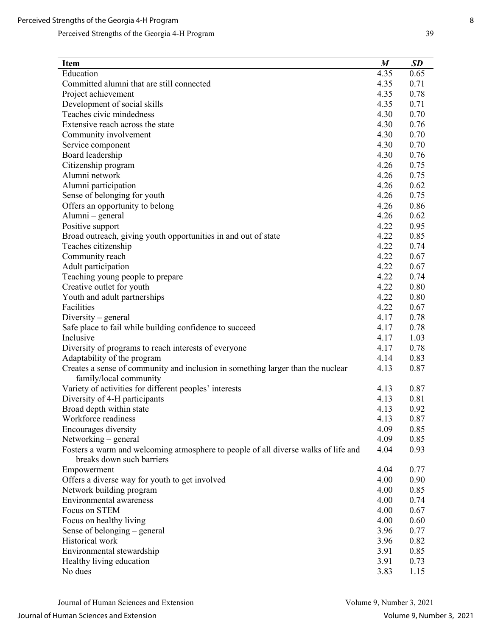| <b>Item</b>                                                                        | M    | <b>SD</b> |
|------------------------------------------------------------------------------------|------|-----------|
| Education                                                                          | 4.35 | 0.65      |
| Committed alumni that are still connected                                          | 4.35 | 0.71      |
| Project achievement                                                                | 4.35 | 0.78      |
| Development of social skills                                                       | 4.35 | 0.71      |
| Teaches civic mindedness                                                           | 4.30 | 0.70      |
| Extensive reach across the state                                                   | 4.30 | 0.76      |
| Community involvement                                                              | 4.30 | 0.70      |
| Service component                                                                  | 4.30 | 0.70      |
| Board leadership                                                                   | 4.30 | 0.76      |
| Citizenship program                                                                | 4.26 | 0.75      |
| Alumni network                                                                     | 4.26 | 0.75      |
| Alumni participation                                                               | 4.26 | 0.62      |
| Sense of belonging for youth                                                       | 4.26 | 0.75      |
| Offers an opportunity to belong                                                    | 4.26 | 0.86      |
| Alumni – general                                                                   | 4.26 | 0.62      |
| Positive support                                                                   | 4.22 | 0.95      |
| Broad outreach, giving youth opportunities in and out of state                     | 4.22 | 0.85      |
| Teaches citizenship                                                                | 4.22 | 0.74      |
| Community reach                                                                    | 4.22 | 0.67      |
| Adult participation                                                                | 4.22 | 0.67      |
| Teaching young people to prepare                                                   | 4.22 | 0.74      |
| Creative outlet for youth                                                          | 4.22 | 0.80      |
| Youth and adult partnerships                                                       | 4.22 | 0.80      |
| Facilities                                                                         | 4.22 | 0.67      |
| Diversity – general                                                                | 4.17 | 0.78      |
| Safe place to fail while building confidence to succeed                            | 4.17 | 0.78      |
| Inclusive                                                                          | 4.17 | 1.03      |
| Diversity of programs to reach interests of everyone                               | 4.17 | 0.78      |
| Adaptability of the program                                                        | 4.14 | 0.83      |
| Creates a sense of community and inclusion in something larger than the nuclear    | 4.13 | 0.87      |
| family/local community                                                             |      |           |
| Variety of activities for different peoples' interests                             | 4.13 | 0.87      |
| Diversity of 4-H participants                                                      | 4.13 | 0.81      |
| Broad depth within state                                                           | 4.13 | 0.92      |
| Workforce readiness                                                                | 4.13 | 0.87      |
| Encourages diversity                                                               | 4.09 | 0.85      |
| Networking – general                                                               | 4.09 | 0.85      |
| Fosters a warm and welcoming atmosphere to people of all diverse walks of life and | 4.04 | 0.93      |
| breaks down such barriers                                                          |      |           |
| Empowerment                                                                        | 4.04 | 0.77      |
| Offers a diverse way for youth to get involved                                     | 4.00 | 0.90      |
| Network building program                                                           | 4.00 | 0.85      |
| Environmental awareness                                                            | 4.00 | 0.74      |
| Focus on STEM                                                                      | 4.00 | 0.67      |
| Focus on healthy living                                                            | 4.00 | 0.60      |
| Sense of belonging – general                                                       | 3.96 | 0.77      |
| Historical work                                                                    | 3.96 | 0.82      |
| Environmental stewardship                                                          | 3.91 | 0.85      |
| Healthy living education                                                           | 3.91 | 0.73      |
| No dues                                                                            | 3.83 | 1.15      |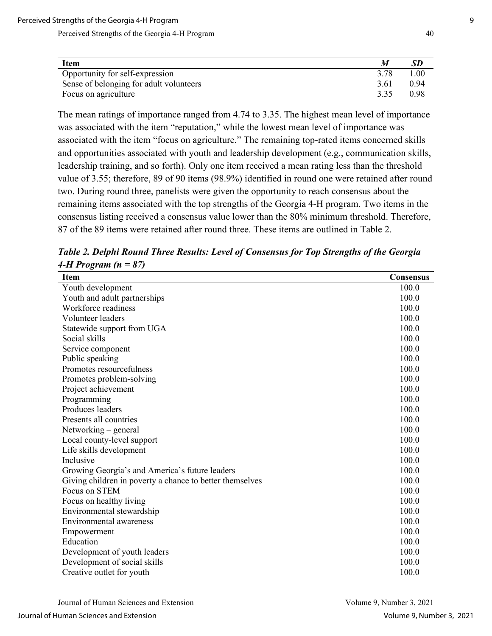| <b>Item</b>                             |      | SD       |
|-----------------------------------------|------|----------|
| Opportunity for self-expression         | 3.78 | $1.00\,$ |
| Sense of belonging for adult volunteers | 3.61 | 0.94     |
| Focus on agriculture                    | 3.35 | 0.98     |

The mean ratings of importance ranged from 4.74 to 3.35. The highest mean level of importance was associated with the item "reputation," while the lowest mean level of importance was associated with the item "focus on agriculture." The remaining top-rated items concerned skills and opportunities associated with youth and leadership development (e.g., communication skills, leadership training, and so forth). Only one item received a mean rating less than the threshold value of 3.55; therefore, 89 of 90 items (98.9%) identified in round one were retained after round two. During round three, panelists were given the opportunity to reach consensus about the remaining items associated with the top strengths of the Georgia 4-H program. Two items in the consensus listing received a consensus value lower than the 80% minimum threshold. Therefore, 87 of the 89 items were retained after round three. These items are outlined in Table 2.

| Table 2. Delphi Round Three Results: Level of Consensus for Top Strengths of the Georgia |  |  |
|------------------------------------------------------------------------------------------|--|--|
| 4-H Program ( $n = 87$ )                                                                 |  |  |

| Item                                                     | Consensus |
|----------------------------------------------------------|-----------|
| Youth development                                        | 100.0     |
| Youth and adult partnerships                             | 100.0     |
| Workforce readiness                                      | 100.0     |
| Volunteer leaders                                        | 100.0     |
| Statewide support from UGA                               | 100.0     |
| Social skills                                            | 100.0     |
| Service component                                        | 100.0     |
| Public speaking                                          | 100.0     |
| Promotes resourcefulness                                 | 100.0     |
| Promotes problem-solving                                 | 100.0     |
| Project achievement                                      | 100.0     |
| Programming                                              | 100.0     |
| Produces leaders                                         | 100.0     |
| Presents all countries                                   | 100.0     |
| Networking – general                                     | 100.0     |
| Local county-level support                               | 100.0     |
| Life skills development                                  | 100.0     |
| Inclusive                                                | 100.0     |
| Growing Georgia's and America's future leaders           | 100.0     |
| Giving children in poverty a chance to better themselves | 100.0     |
| Focus on STEM                                            | 100.0     |
| Focus on healthy living                                  | 100.0     |
| Environmental stewardship                                | 100.0     |
| Environmental awareness                                  | 100.0     |
| Empowerment                                              | 100.0     |
| Education                                                | 100.0     |
| Development of youth leaders                             | 100.0     |
| Development of social skills                             | 100.0     |
| Creative outlet for youth                                | 100.0     |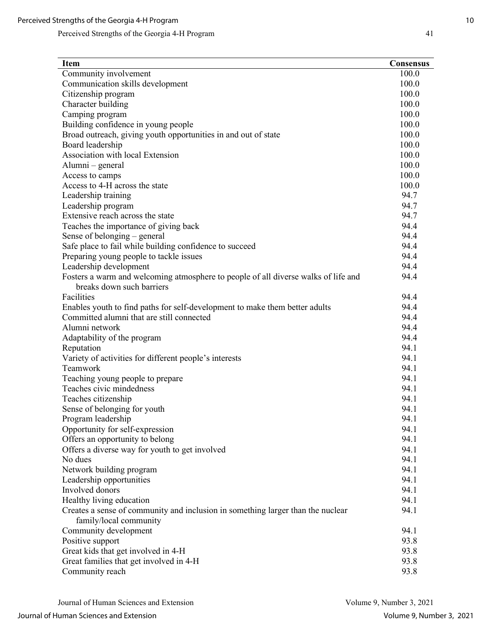| <b>Item</b>                                                                                                     | <b>Consensus</b> |
|-----------------------------------------------------------------------------------------------------------------|------------------|
| Community involvement                                                                                           | 100.0            |
| Communication skills development                                                                                | 100.0            |
| Citizenship program                                                                                             | 100.0            |
| Character building                                                                                              | 100.0            |
| Camping program                                                                                                 | 100.0            |
| Building confidence in young people                                                                             | 100.0            |
| Broad outreach, giving youth opportunities in and out of state                                                  | 100.0            |
| Board leadership                                                                                                | 100.0            |
| Association with local Extension                                                                                | 100.0            |
| Alumni – general                                                                                                | 100.0            |
| Access to camps                                                                                                 | 100.0            |
| Access to 4-H across the state                                                                                  | 100.0            |
| Leadership training                                                                                             | 94.7             |
| Leadership program                                                                                              | 94.7             |
| Extensive reach across the state                                                                                | 94.7             |
| Teaches the importance of giving back                                                                           | 94.4             |
| Sense of belonging – general                                                                                    | 94.4             |
| Safe place to fail while building confidence to succeed                                                         | 94.4             |
| Preparing young people to tackle issues                                                                         | 94.4             |
| Leadership development                                                                                          | 94.4             |
| Fosters a warm and welcoming atmosphere to people of all diverse walks of life and<br>breaks down such barriers | 94.4             |
| Facilities                                                                                                      | 94.4             |
| Enables youth to find paths for self-development to make them better adults                                     | 94.4             |
| Committed alumni that are still connected                                                                       | 94.4             |
| Alumni network                                                                                                  | 94.4             |
| Adaptability of the program                                                                                     | 94.4             |
| Reputation                                                                                                      | 94.1             |
| Variety of activities for different people's interests                                                          | 94.1             |
| Teamwork                                                                                                        | 94.1             |
| Teaching young people to prepare                                                                                | 94.1             |
| Teaches civic mindedness                                                                                        | 94.1             |
| Teaches citizenship                                                                                             | 94.1             |
| Sense of belonging for youth                                                                                    | 94.1             |
| Program leadership                                                                                              | 94.1             |
| Opportunity for self-expression                                                                                 | 94.1             |
| Offers an opportunity to belong                                                                                 | 94.1             |
| Offers a diverse way for youth to get involved                                                                  | 94.1             |
| No dues                                                                                                         | 94.1             |
| Network building program                                                                                        | 94.1             |
| Leadership opportunities                                                                                        | 94.1             |
| Involved donors                                                                                                 | 94.1             |
| Healthy living education                                                                                        | 94.1             |
| Creates a sense of community and inclusion in something larger than the nuclear                                 | 94.1             |
| family/local community                                                                                          |                  |
| Community development                                                                                           | 94.1             |
| Positive support                                                                                                | 93.8             |
| Great kids that get involved in 4-H                                                                             | 93.8             |
| Great families that get involved in 4-H                                                                         | 93.8             |
| Community reach                                                                                                 | 93.8             |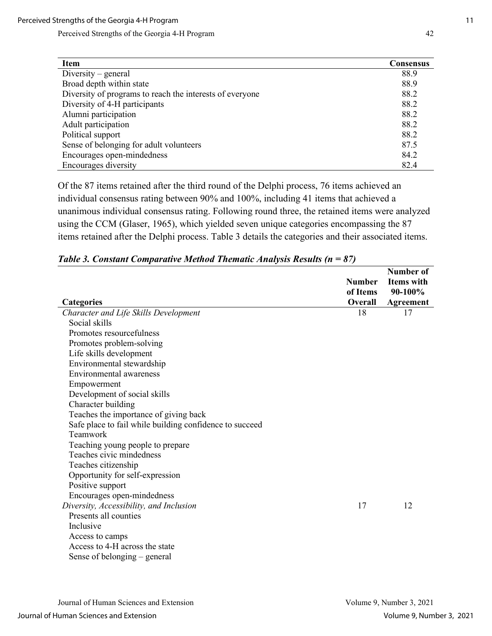| <b>Item</b>                                              | <b>Consensus</b> |
|----------------------------------------------------------|------------------|
| $Diversity$ – general                                    | 88.9             |
| Broad depth within state                                 | 88.9             |
| Diversity of programs to reach the interests of everyone | 88.2             |
| Diversity of 4-H participants                            | 88.2             |
| Alumni participation                                     | 88.2             |
| Adult participation                                      | 88.2             |
| Political support                                        | 88.2             |
| Sense of belonging for adult volunteers                  | 87.5             |
| Encourages open-mindedness                               | 84.2             |
| Encourages diversity                                     | 82.4             |

Of the 87 items retained after the third round of the Delphi process, 76 items achieved an individual consensus rating between 90% and 100%, including 41 items that achieved a unanimous individual consensus rating. Following round three, the retained items were analyzed using the CCM (Glaser, 1965), which yielded seven unique categories encompassing the 87 items retained after the Delphi process. Table 3 details the categories and their associated items.

|                                                         | <b>Number</b> | Number of<br><b>Items</b> with |
|---------------------------------------------------------|---------------|--------------------------------|
|                                                         | of Items      | 90-100%                        |
| <b>Categories</b>                                       | Overall       | Agreement                      |
| Character and Life Skills Development                   | 18            | 17                             |
| Social skills                                           |               |                                |
| Promotes resourcefulness                                |               |                                |
| Promotes problem-solving                                |               |                                |
| Life skills development                                 |               |                                |
| Environmental stewardship                               |               |                                |
| <b>Environmental awareness</b>                          |               |                                |
| Empowerment                                             |               |                                |
| Development of social skills                            |               |                                |
| Character building                                      |               |                                |
| Teaches the importance of giving back                   |               |                                |
| Safe place to fail while building confidence to succeed |               |                                |
| Teamwork                                                |               |                                |
| Teaching young people to prepare                        |               |                                |
| Teaches civic mindedness                                |               |                                |
| Teaches citizenship                                     |               |                                |
| Opportunity for self-expression                         |               |                                |
| Positive support                                        |               |                                |
| Encourages open-mindedness                              |               |                                |
| Diversity, Accessibility, and Inclusion                 | 17            | 12                             |
| Presents all counties                                   |               |                                |
| Inclusive                                               |               |                                |
| Access to camps                                         |               |                                |
| Access to 4-H across the state                          |               |                                |
| Sense of belonging – general                            |               |                                |

|  | Table 3. Constant Comparative Method Thematic Analysis Results ( $n = 87$ ) |  |  |  |  |
|--|-----------------------------------------------------------------------------|--|--|--|--|
|--|-----------------------------------------------------------------------------|--|--|--|--|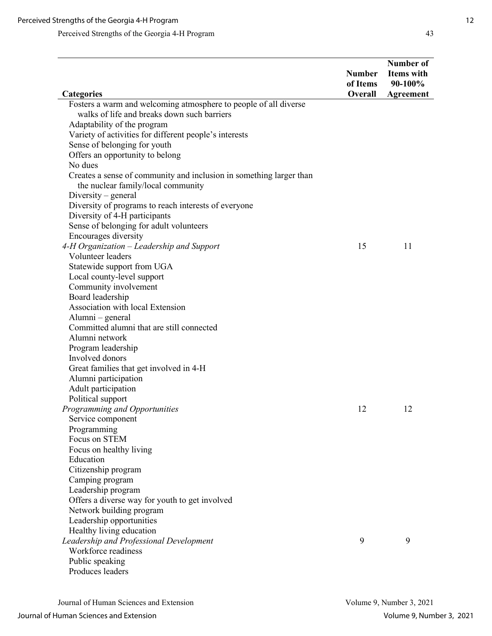|                                                                                                                                                                                                                                                                                                                                                                                                                                   | <b>Number</b><br>of Items | Number of<br>Items with<br>90-100% |
|-----------------------------------------------------------------------------------------------------------------------------------------------------------------------------------------------------------------------------------------------------------------------------------------------------------------------------------------------------------------------------------------------------------------------------------|---------------------------|------------------------------------|
| <b>Categories</b>                                                                                                                                                                                                                                                                                                                                                                                                                 | Overall                   | <b>Agreement</b>                   |
| Fosters a warm and welcoming atmosphere to people of all diverse<br>walks of life and breaks down such barriers<br>Adaptability of the program<br>Variety of activities for different people's interests<br>Sense of belonging for youth<br>Offers an opportunity to belong<br>No dues                                                                                                                                            |                           |                                    |
| Creates a sense of community and inclusion in something larger than<br>the nuclear family/local community<br>$Diversity$ – general<br>Diversity of programs to reach interests of everyone<br>Diversity of 4-H participants<br>Sense of belonging for adult volunteers<br>Encourages diversity                                                                                                                                    |                           | 11                                 |
| 4-H Organization - Leadership and Support<br>Volunteer leaders<br>Statewide support from UGA<br>Local county-level support<br>Community involvement<br>Board leadership<br>Association with local Extension<br>Alumni – general<br>Committed alumni that are still connected<br>Alumni network<br>Program leadership<br>Involved donors<br>Great families that get involved in 4-H<br>Alumni participation<br>Adult participation | 15                        |                                    |
| Political support<br>Programming and Opportunities<br>Service component<br>Programming<br>Focus on STEM<br>Focus on healthy living<br>Education<br>Citizenship program<br>Camping program<br>Leadership program<br>Offers a diverse way for youth to get involved<br>Network building program<br>Leadership opportunities                                                                                                         | 12                        | 12                                 |
| Healthy living education<br>Leadership and Professional Development<br>Workforce readiness<br>Public speaking<br>Produces leaders                                                                                                                                                                                                                                                                                                 | 9                         | 9                                  |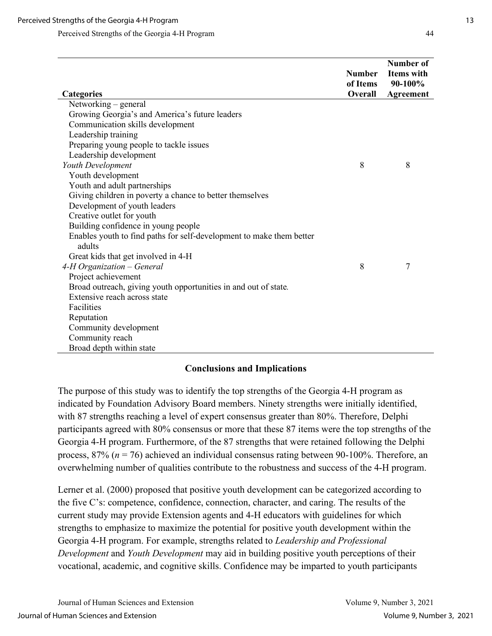| <b>Categories</b>                                                              | <b>Number</b><br>of Items<br>Overall | Number of<br><b>Items</b> with<br>90-100%<br>Agreement |
|--------------------------------------------------------------------------------|--------------------------------------|--------------------------------------------------------|
| Networking – general                                                           |                                      |                                                        |
| Growing Georgia's and America's future leaders                                 |                                      |                                                        |
| Communication skills development                                               |                                      |                                                        |
| Leadership training                                                            |                                      |                                                        |
| Preparing young people to tackle issues                                        |                                      |                                                        |
| Leadership development                                                         |                                      |                                                        |
| Youth Development                                                              | 8                                    | 8                                                      |
| Youth development                                                              |                                      |                                                        |
| Youth and adult partnerships                                                   |                                      |                                                        |
| Giving children in poverty a chance to better themselves                       |                                      |                                                        |
| Development of youth leaders                                                   |                                      |                                                        |
| Creative outlet for youth                                                      |                                      |                                                        |
| Building confidence in young people                                            |                                      |                                                        |
| Enables youth to find paths for self-development to make them better<br>adults |                                      |                                                        |
| Great kids that get involved in 4-H                                            |                                      |                                                        |
| 4-H Organization - General                                                     | 8                                    | 7                                                      |
| Project achievement                                                            |                                      |                                                        |
| Broad outreach, giving youth opportunities in and out of state.                |                                      |                                                        |
| Extensive reach across state                                                   |                                      |                                                        |
| Facilities                                                                     |                                      |                                                        |
| Reputation                                                                     |                                      |                                                        |
| Community development                                                          |                                      |                                                        |
| Community reach                                                                |                                      |                                                        |
| Broad depth within state                                                       |                                      |                                                        |

#### **Conclusions and Implications**

The purpose of this study was to identify the top strengths of the Georgia 4-H program as indicated by Foundation Advisory Board members. Ninety strengths were initially identified, with 87 strengths reaching a level of expert consensus greater than 80%. Therefore, Delphi participants agreed with 80% consensus or more that these 87 items were the top strengths of the Georgia 4-H program. Furthermore, of the 87 strengths that were retained following the Delphi process, 87% (*n* = 76) achieved an individual consensus rating between 90-100%. Therefore, an overwhelming number of qualities contribute to the robustness and success of the 4-H program.

Lerner et al. (2000) proposed that positive youth development can be categorized according to the five C's: competence, confidence, connection, character, and caring. The results of the current study may provide Extension agents and 4-H educators with guidelines for which strengths to emphasize to maximize the potential for positive youth development within the Georgia 4-H program. For example, strengths related to *Leadership and Professional Development* and *Youth Development* may aid in building positive youth perceptions of their vocational, academic, and cognitive skills. Confidence may be imparted to youth participants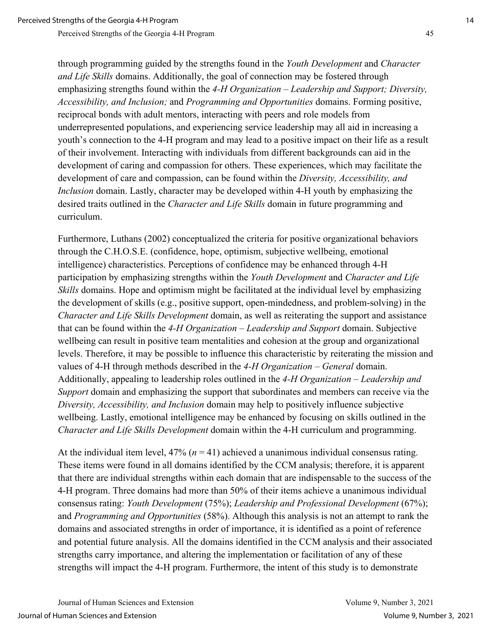through programming guided by the strengths found in the *Youth Development* and *Character and Life Skills* domains. Additionally, the goal of connection may be fostered through emphasizing strengths found within the *4-H Organization – Leadership and Support; Diversity, Accessibility, and Inclusion;* and *Programming and Opportunities* domains. Forming positive, reciprocal bonds with adult mentors, interacting with peers and role models from underrepresented populations, and experiencing service leadership may all aid in increasing a youth's connection to the 4-H program and may lead to a positive impact on their life as a result of their involvement. Interacting with individuals from different backgrounds can aid in the development of caring and compassion for others. These experiences, which may facilitate the development of care and compassion, can be found within the *Diversity, Accessibility, and Inclusion* domain. Lastly, character may be developed within 4-H youth by emphasizing the desired traits outlined in the *Character and Life Skills* domain in future programming and curriculum.

Furthermore, Luthans (2002) conceptualized the criteria for positive organizational behaviors through the C.H.O.S.E. (confidence, hope, optimism, subjective wellbeing, emotional intelligence) characteristics. Perceptions of confidence may be enhanced through 4-H participation by emphasizing strengths within the *Youth Development* and *Character and Life Skills* domains. Hope and optimism might be facilitated at the individual level by emphasizing the development of skills (e.g., positive support, open-mindedness, and problem-solving) in the *Character and Life Skills Development* domain, as well as reiterating the support and assistance that can be found within the *4-H Organization – Leadership and Support* domain. Subjective wellbeing can result in positive team mentalities and cohesion at the group and organizational levels. Therefore, it may be possible to influence this characteristic by reiterating the mission and values of 4-H through methods described in the *4-H Organization – General* domain. Additionally, appealing to leadership roles outlined in the *4-H Organization – Leadership and Support* domain and emphasizing the support that subordinates and members can receive via the *Diversity, Accessibility, and Inclusion* domain may help to positively influence subjective wellbeing. Lastly, emotional intelligence may be enhanced by focusing on skills outlined in the *Character and Life Skills Development* domain within the 4-H curriculum and programming.

At the individual item level,  $47\%$  ( $n = 41$ ) achieved a unanimous individual consensus rating. These items were found in all domains identified by the CCM analysis; therefore, it is apparent that there are individual strengths within each domain that are indispensable to the success of the 4-H program. Three domains had more than 50% of their items achieve a unanimous individual consensus rating: *Youth Development* (75%); *Leadership and Professional Development* (67%); and *Programming and Opportunities* (58%). Although this analysis is not an attempt to rank the domains and associated strengths in order of importance, it is identified as a point of reference and potential future analysis. All the domains identified in the CCM analysis and their associated strengths carry importance, and altering the implementation or facilitation of any of these strengths will impact the 4-H program. Furthermore, the intent of this study is to demonstrate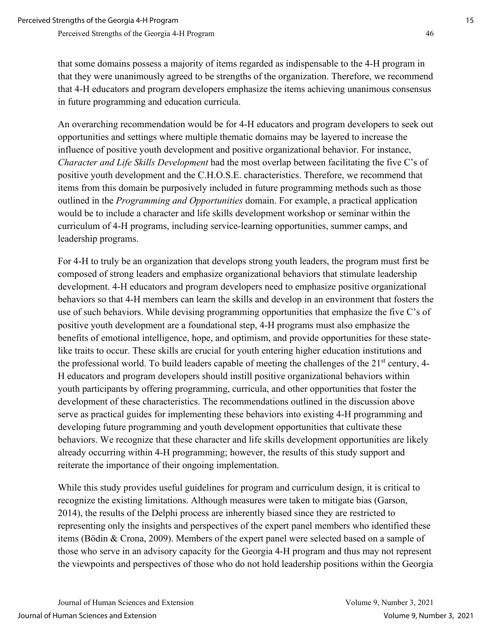that some domains possess a majority of items regarded as indispensable to the 4-H program in that they were unanimously agreed to be strengths of the organization. Therefore, we recommend that 4-H educators and program developers emphasize the items achieving unanimous consensus in future programming and education curricula.

An overarching recommendation would be for 4-H educators and program developers to seek out opportunities and settings where multiple thematic domains may be layered to increase the influence of positive youth development and positive organizational behavior. For instance, *Character and Life Skills Development* had the most overlap between facilitating the five C's of positive youth development and the C.H.O.S.E. characteristics. Therefore, we recommend that items from this domain be purposively included in future programming methods such as those outlined in the *Programming and Opportunities* domain. For example, a practical application would be to include a character and life skills development workshop or seminar within the curriculum of 4-H programs, including service-learning opportunities, summer camps, and leadership programs.

For 4-H to truly be an organization that develops strong youth leaders, the program must first be composed of strong leaders and emphasize organizational behaviors that stimulate leadership development. 4-H educators and program developers need to emphasize positive organizational behaviors so that 4-H members can learn the skills and develop in an environment that fosters the use of such behaviors. While devising programming opportunities that emphasize the five C's of positive youth development are a foundational step, 4-H programs must also emphasize the benefits of emotional intelligence, hope, and optimism, and provide opportunities for these statelike traits to occur. These skills are crucial for youth entering higher education institutions and the professional world. To build leaders capable of meeting the challenges of the  $21<sup>st</sup>$  century, 4-H educators and program developers should instill positive organizational behaviors within youth participants by offering programming, curricula, and other opportunities that foster the development of these characteristics. The recommendations outlined in the discussion above serve as practical guides for implementing these behaviors into existing 4-H programming and developing future programming and youth development opportunities that cultivate these behaviors. We recognize that these character and life skills development opportunities are likely already occurring within 4-H programming; however, the results of this study support and reiterate the importance of their ongoing implementation.

While this study provides useful guidelines for program and curriculum design, it is critical to recognize the existing limitations. Although measures were taken to mitigate bias (Garson, 2014), the results of the Delphi process are inherently biased since they are restricted to representing only the insights and perspectives of the expert panel members who identified these items (Bödin & Crona, 2009). Members of the expert panel were selected based on a sample of those who serve in an advisory capacity for the Georgia 4-H program and thus may not represent the viewpoints and perspectives of those who do not hold leadership positions within the Georgia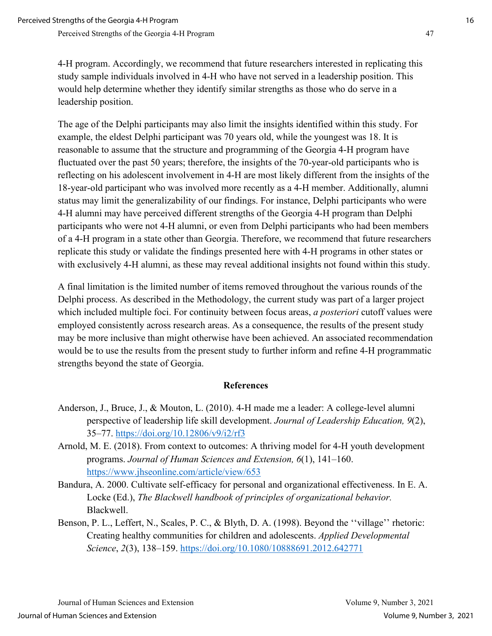4-H program. Accordingly, we recommend that future researchers interested in replicating this study sample individuals involved in 4-H who have not served in a leadership position. This would help determine whether they identify similar strengths as those who do serve in a leadership position.

The age of the Delphi participants may also limit the insights identified within this study. For example, the eldest Delphi participant was 70 years old, while the youngest was 18. It is reasonable to assume that the structure and programming of the Georgia 4-H program have fluctuated over the past 50 years; therefore, the insights of the 70-year-old participants who is reflecting on his adolescent involvement in 4-H are most likely different from the insights of the 18-year-old participant who was involved more recently as a 4-H member. Additionally, alumni status may limit the generalizability of our findings. For instance, Delphi participants who were 4-H alumni may have perceived different strengths of the Georgia 4-H program than Delphi participants who were not 4-H alumni, or even from Delphi participants who had been members of a 4-H program in a state other than Georgia. Therefore, we recommend that future researchers replicate this study or validate the findings presented here with 4-H programs in other states or with exclusively 4-H alumni, as these may reveal additional insights not found within this study.

A final limitation is the limited number of items removed throughout the various rounds of the Delphi process. As described in the Methodology, the current study was part of a larger project which included multiple foci. For continuity between focus areas, *a posteriori* cutoff values were employed consistently across research areas. As a consequence, the results of the present study may be more inclusive than might otherwise have been achieved. An associated recommendation would be to use the results from the present study to further inform and refine 4-H programmatic strengths beyond the state of Georgia.

#### **References**

- Anderson, J., Bruce, J., & Mouton, L. (2010). 4-H made me a leader: A college-level alumni perspective of leadership life skill development. *Journal of Leadership Education, 9*(2), 35–77.<https://doi.org/10.12806/v9/i2/rf3>
- Arnold, M. E. (2018). From context to outcomes: A thriving model for 4-H youth development programs. *Journal of Human Sciences and Extension, 6*(1), 141–160. <https://www.jhseonline.com/article/view/653>
- Bandura, A. 2000. Cultivate self-efficacy for personal and organizational effectiveness. In E. A. Locke (Ed.), *The Blackwell handbook of principles of organizational behavior.* Blackwell.
- Benson, P. L., Leffert, N., Scales, P. C., & Blyth, D. A. (1998). Beyond the ''village'' rhetoric: Creating healthy communities for children and adolescents. *Applied Developmental Science*, *2*(3), 138–159.<https://doi.org/10.1080/10888691.2012.642771>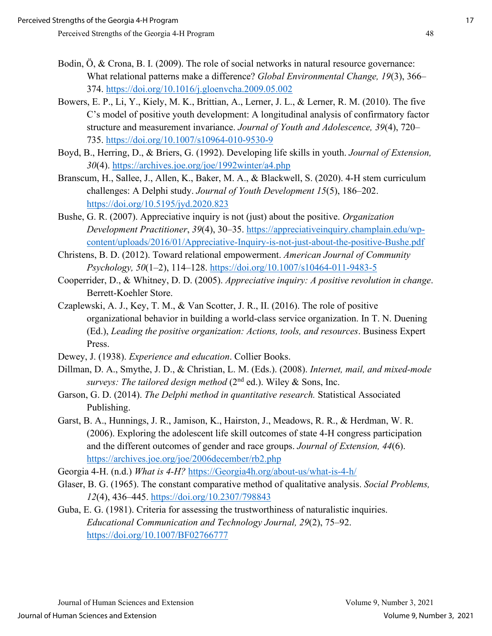- Bodin, Ö, & Crona, B. I. (2009). The role of social networks in natural resource governance: What relational patterns make a difference? *Global Environmental Change, 19*(3), 366– 374.<https://doi.org/10.1016/j.gloenvcha.2009.05.002>
- Bowers, E. P., Li, Y., Kiely, M. K., Brittian, A., Lerner, J. L., & Lerner, R. M. (2010). The five C's model of positive youth development: A longitudinal analysis of confirmatory factor structure and measurement invariance. *Journal of Youth and Adolescence, 39*(4), 720– 735.<https://doi.org/10.1007/s10964-010-9530-9>
- Boyd, B., Herring, D., & Briers, G. (1992). Developing life skills in youth. *Journal of Extension, 30*(4). <https://archives.joe.org/joe/1992winter/a4.php>
- Branscum, H., Sallee, J., Allen, K., Baker, M. A., & Blackwell, S. (2020). 4-H stem curriculum challenges: A Delphi study. *Journal of Youth Development 15*(5), 186–202. <https://doi.org/10.5195/jyd.2020.823>
- Bushe, G. R. (2007). Appreciative inquiry is not (just) about the positive. *Organization Development Practitioner*, *39*(4), 30–35. [https://appreciativeinquiry.champlain.edu/wp](https://appreciativeinquiry.champlain.edu/wp-content/uploads/2016/01/Appreciative-Inquiry-is-not-just-about-the-positive-Bushe.pdf)[content/uploads/2016/01/Appreciative-Inquiry-is-not-just-about-the-positive-Bushe.pdf](https://appreciativeinquiry.champlain.edu/wp-content/uploads/2016/01/Appreciative-Inquiry-is-not-just-about-the-positive-Bushe.pdf)
- Christens, B. D. (2012). Toward relational empowerment. *American Journal of Community Psychology, 50*(1–2), 114–128.<https://doi.org/10.1007/s10464-011-9483-5>
- Cooperrider, D., & Whitney, D. D. (2005). *Appreciative inquiry: A positive revolution in change*. Berrett-Koehler Store.
- Czaplewski, A. J., Key, T. M., & Van Scotter, J. R., II. (2016). The role of positive organizational behavior in building a world-class service organization. In T. N. Duening (Ed.), *Leading the positive organization: Actions, tools, and resources*. Business Expert Press.
- Dewey, J. (1938). *Experience and education*. Collier Books.
- Dillman, D. A., Smythe, J. D., & Christian, L. M. (Eds.). (2008). *Internet, mail, and mixed-mode surveys: The tailored design method* ( $2<sup>nd</sup>$  ed.). Wiley & Sons, Inc.
- Garson, G. D. (2014). *The Delphi method in quantitative research.* Statistical Associated Publishing.
- Garst, B. A., Hunnings, J. R., Jamison, K., Hairston, J., Meadows, R. R., & Herdman, W. R. (2006). Exploring the adolescent life skill outcomes of state 4-H congress participation and the different outcomes of gender and race groups. *Journal of Extension, 44*(6). <https://archives.joe.org/joe/2006december/rb2.php>
- Georgia 4-H. (n.d.) *What is 4-H?* [https://Georgia4h.org/about-us/what-is-4-h/](https://georgia4h.org/about-us/what-is-4-h/)
- Glaser, B. G. (1965). The constant comparative method of qualitative analysis. *Social Problems, 12*(4), 436–445.<https://doi.org/10.2307/798843>
- Guba, E. G. (1981). Criteria for assessing the trustworthiness of naturalistic inquiries. *Educational Communication and Technology Journal, 29*(2), 75–92. <https://doi.org/10.1007/BF02766777>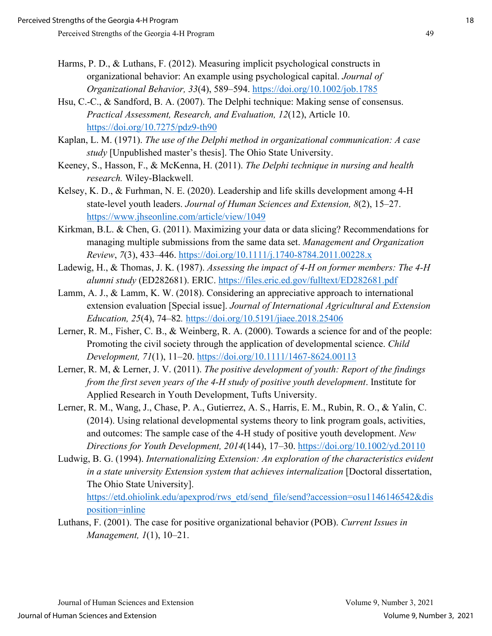- Harms, P. D., & Luthans, F. (2012). Measuring implicit psychological constructs in organizational behavior: An example using psychological capital. *Journal of Organizational Behavior, 33*(4), 589–594. https://doi.org/10.1002/job.1785
- Hsu, C.-C., & Sandford, B. A. (2007). The Delphi technique: Making sense of consensus. *Practical Assessment, Research, and Evaluation, 12*(12), Article 10. https://doi.org/10.7275/pdz9-th90
- Kaplan, L. M. (1971). *The use of the Delphi method in organizational communication: A case study* [Unpublished master's thesis]. The Ohio State University.
- Keeney, S., Hasson, F., & McKenna, H. (2011). *The Delphi technique in nursing and health research.* Wiley-Blackwell.
- Kelsey, K. D., & Furhman, N. E. (2020). Leadership and life skills development among 4-H state-level youth leaders. *Journal of Human Sciences and Extension, 8*(2), 15–27. https://www.jhseonline.com/article/view/1049
- Kirkman, B.L. & Chen, G. (2011). Maximizing your data or data slicing? Recommendations for managing multiple submissions from the same data set. *Management and Organization Review*, *7*(3), 433–446. https://doi.org/10.1111/j.1740-8784.2011.00228.x
- Ladewig, H., & Thomas, J. K. (1987). *Assessing the impact of 4-H on former members: The 4-H alumni study* (ED282681). ERIC. https://files.eric.ed.gov/fulltext/ED282681.pdf
- Lamm, A. J., & Lamm, K. W. (2018). Considering an appreciative approach to international extension evaluation [Special issue]. *Journal of International Agricultural and Extension Education, 25*(4), 74–82*.* https://doi.org/10.5191/jiaee.2018.25406
- Lerner, R. M., Fisher, C. B., & Weinberg, R. A. (2000). Towards a science for and of the people: Promoting the civil society through the application of developmental science. *Child Development, 71*(1), 11–20. https://doi.org/10.1111/1467-8624.00113
- Lerner, R. M, & Lerner, J. V. (2011). *The positive development of youth: Report of the findings from the first seven years of the 4-H study of positive youth development*. Institute for Applied Research in Youth Development, Tufts University.
- Lerner, R. M., Wang, J., Chase, P. A., Gutierrez, A. S., Harris, E. M., Rubin, R. O., & Yalin, C. (2014). Using relational developmental systems theory to link program goals, activities, and outcomes: The sample case of the 4-H study of positive youth development. *New Directions for Youth Development, 2014*(144), 17–30. https://doi.org/10.1002/yd.20110
- Ludwig, B. G. (1994). *Internationalizing Extension: An exploration of the characteristics evident in a state university Extension system that achieves internalization* [Doctoral dissertation, The Ohio State University].

https://etd.ohiolink.edu/apexprod/rws\_etd/send\_file/send?accession=osu1146146542&dis position=inline

Luthans, F. (2001). The case for positive organizational behavior (POB). *Current Issues in Management, 1*(1), 10–21.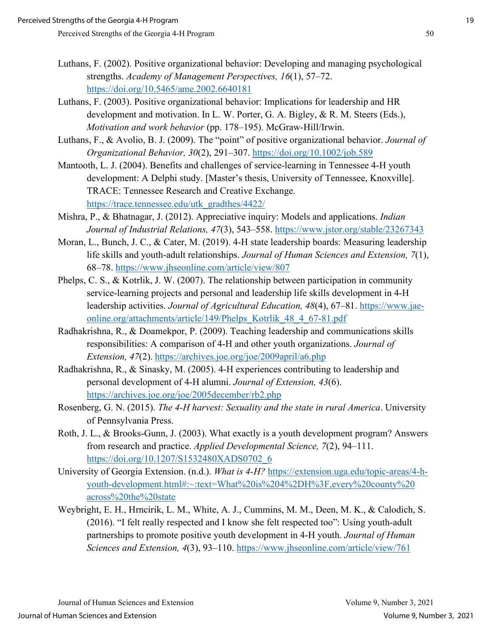- Luthans, F. (2002). Positive organizational behavior: Developing and managing psychological strengths. *Academy of Management Perspectives, 16*(1), 57–72. https://doi.org/10.5465/ame.2002.6640181
- Luthans, F. (2003). Positive organizational behavior: Implications for leadership and HR development and motivation. In L. W. Porter, G. A. Bigley, & R. M. Steers (Eds.), *Motivation and work behavior* (pp. 178–195). McGraw-Hill/Irwin.
- Luthans, F., & Avolio, B. J. (2009). The "point" of positive organizational behavior. *Journal of Organizational Behavior, 30*(2), 291–307. https://doi.org/10.1002/job.589
- Mantooth, L. J. (2004). Benefits and challenges of service-learning in Tennessee 4-H youth development: A Delphi study. [Master's thesis, University of Tennessee, Knoxville]. TRACE: Tennessee Research and Creative Exchange. https://trace.tennessee.edu/utk\_gradthes/4422/
- Mishra, P., & Bhatnagar, J. (2012). Appreciative inquiry: Models and applications. *Indian Journal of Industrial Relations, 47*(3), 543–558. https://www.jstor.org/stable/23267343
- Moran, L., Bunch, J. C., & Cater, M. (2019). 4-H state leadership boards: Measuring leadership life skills and youth-adult relationships. *Journal of Human Sciences and Extension, 7*(1), 68–78. https://www.jhseonline.com/article/view/807
- Phelps, C. S., & Kotrlik, J. W. (2007). The relationship between participation in community service-learning projects and personal and leadership life skills development in 4-H leadership activities. *Journal of Agricultural Education, 48*(4), 67–81. https://www.jaeonline.org/attachments/article/149/Phelps\_Kotrlik\_48\_4\_67-81.pdf
- Radhakrishna, R., & Doamekpor, P. (2009). Teaching leadership and communications skills responsibilities: A comparison of 4-H and other youth organizations. *Journal of Extension, 47*(2). https://archives.joe.org/joe/2009april/a6.php
- Radhakrishna, R., & Sinasky, M. (2005). 4-H experiences contributing to leadership and personal development of 4-H alumni. *Journal of Extension, 43*(6). https://archives.joe.org/joe/2005december/rb2.php
- Rosenberg, G. N. (2015). *The 4-H harvest: Sexuality and the state in rural America*. University of Pennsylvania Press.
- Roth, J. L., & Brooks-Gunn, J. (2003). What exactly is a youth development program? Answers from research and practice. *Applied Developmental Science, 7*(2), 94–111. https://doi.org/10.1207/S1532480XADS0702\_6
- University of Georgia Extension. (n.d.). *What is 4-H?* https://extension.uga.edu/topic-areas/4-hyouth-development.html#:~:text=What%20is%204%2DH%3F,every%20county%20 across%20the%20state
- Weybright, E. H., Hrncirik, L. M., White, A. J., Cummins, M. M., Deen, M. K., & Calodich, S. (2016). "I felt really respected and I know she felt respected too": Using youth-adult partnerships to promote positive youth development in 4-H youth. *Journal of Human Sciences and Extension, 4*(3), 93–110. https://www.jhseonline.com/article/view/761